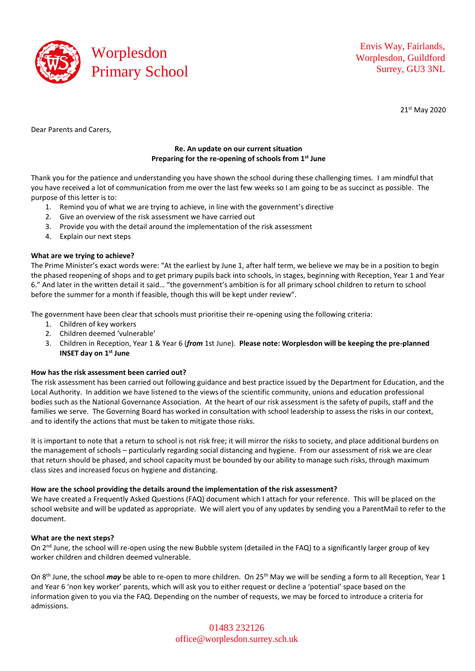

Envis Way, Fairlands, Worplesdon, Guildford Surrey, GU3 3NL

21 st May 2020

Dear Parents and Carers,

# **Re. An update on our current situation Preparing for the re-opening of schools from 1st June**

Thank you for the patience and understanding you have shown the school during these challenging times. I am mindful that you have received a lot of communication from me over the last few weeks so I am going to be as succinct as possible. The purpose of this letter is to:

- 1. Remind you of what we are trying to achieve, in line with the government's directive
- 2. Give an overview of the risk assessment we have carried out
- 3. Provide you with the detail around the implementation of the risk assessment
- 4. Explain our next steps

## **What are we trying to achieve?**

The Prime Minister's exact words were: "At the earliest by June 1, after half term, we believe we may be in a position to begin the phased reopening of shops and to get primary pupils back into schools, in stages, beginning with Reception, Year 1 and Year 6." And later in the written detail it said… "the government's ambition is for all primary school children to return to school before the summer for a month if feasible, though this will be kept under review".

The government have been clear that schools must prioritise their re-opening using the following criteria:

- 1. Children of key workers
- 2. Children deemed 'vulnerable'
- 3. Children in Reception, Year 1 & Year 6 (*from* 1st June). **Please note: Worplesdon will be keeping the pre-planned INSET day on 1st June**

## **How has the risk assessment been carried out?**

The risk assessment has been carried out following guidance and best practice issued by the Department for Education, and the Local Authority. In addition we have listened to the views of the scientific community, unions and education professional bodies such as the National Governance Association. At the heart of our risk assessment is the safety of pupils, staff and the families we serve. The Governing Board has worked in consultation with school leadership to assess the risks in our context, and to identify the actions that must be taken to mitigate those risks.

It is important to note that a return to school is not risk free; it will mirror the risks to society, and place additional burdens on the management of schools – particularly regarding social distancing and hygiene. From our assessment of risk we are clear that return should be phased, and school capacity must be bounded by our ability to manage such risks, through maximum class sizes and increased focus on hygiene and distancing.

## **How are the school providing the details around the implementation of the risk assessment?**

We have created a Frequently Asked Questions (FAQ) document which I attach for your reference. This will be placed on the school website and will be updated as appropriate. We will alert you of any updates by sending you a ParentMail to refer to the document.

### **What are the next steps?**

On 2<sup>nd</sup> June, the school will re-open using the new Bubble system (detailed in the FAQ) to a significantly larger group of key worker children and children deemed vulnerable.

On 8th June, the school *may* be able to re-open to more children. On 25th May we will be sending a form to all Reception, Year 1 and Year 6 'non key worker' parents, which will ask you to either request or decline a 'potential' space based on the information given to you via the FAQ. Depending on the number of requests, we may be forced to introduce a criteria for admissions.

> 01483 232126 [office@worplesdon.surrey.sch.uk](mailto:office@worplesdon.surrey.sch.uk)